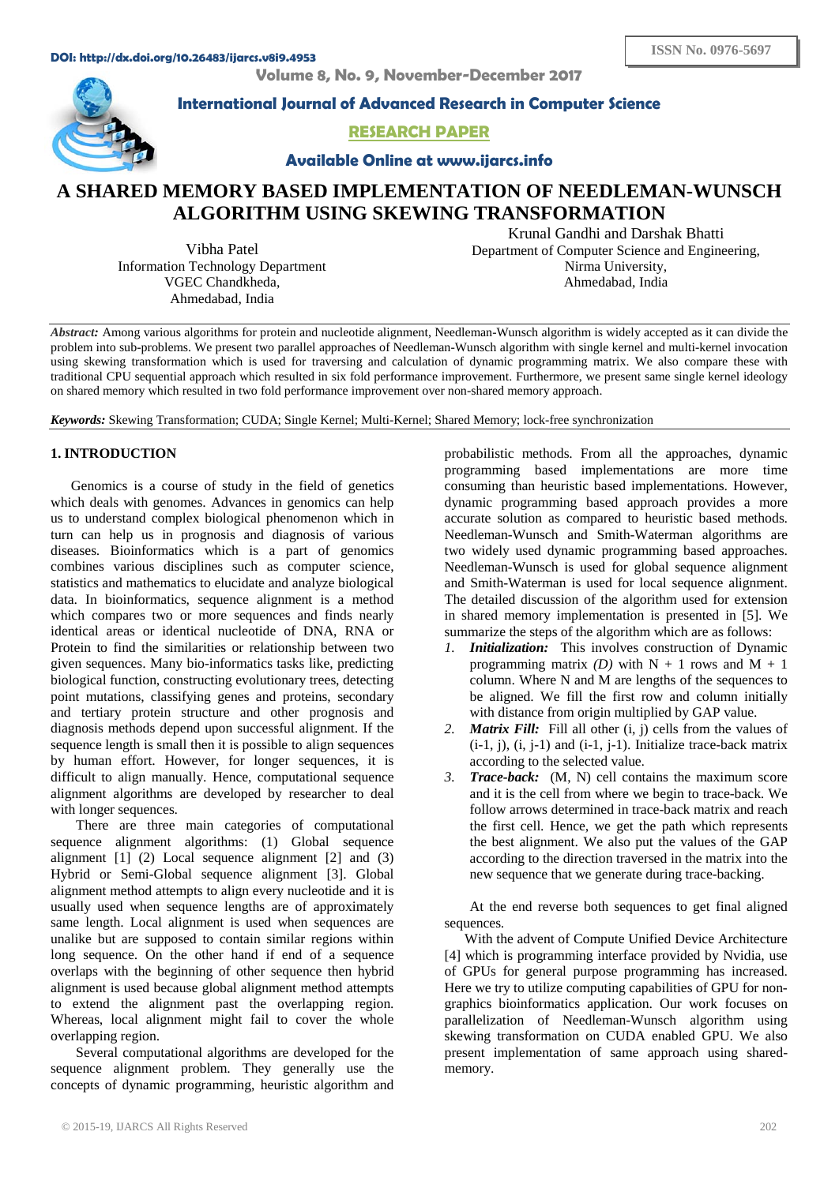**Volume 8, No. 9, November-December 2017**



**International Journal of Advanced Research in Computer Science**

**RESEARCH PAPER**

**Available Online at www.ijarcs.info**

# **A SHARED MEMORY BASED IMPLEMENTATION OF NEEDLEMAN-WUNSCH ALGORITHM USING SKEWING TRANSFORMATION**

Vibha Patel Information Technology Department VGEC Chandkheda, Ahmedabad, India

Krunal Gandhi and Darshak Bhatti Department of Computer Science and Engineering, Nirma University, Ahmedabad, India

*Abstract:* Among various algorithms for protein and nucleotide alignment, Needleman-Wunsch algorithm is widely accepted as it can divide the problem into sub-problems. We present two parallel approaches of Needleman-Wunsch algorithm with single kernel and multi-kernel invocation using skewing transformation which is used for traversing and calculation of dynamic programming matrix. We also compare these with traditional CPU sequential approach which resulted in six fold performance improvement. Furthermore, we present same single kernel ideology on shared memory which resulted in two fold performance improvement over non-shared memory approach.

*Keywords:* Skewing Transformation; CUDA; Single Kernel; Multi-Kernel; Shared Memory; lock-free synchronization

# **1. INTRODUCTION**

Genomics is a course of study in the field of genetics which deals with genomes. Advances in genomics can help us to understand complex biological phenomenon which in turn can help us in prognosis and diagnosis of various diseases. Bioinformatics which is a part of genomics combines various disciplines such as computer science, statistics and mathematics to elucidate and analyze biological data. In bioinformatics, sequence alignment is a method which compares two or more sequences and finds nearly identical areas or identical nucleotide of DNA, RNA or Protein to find the similarities or relationship between two given sequences. Many bio-informatics tasks like, predicting biological function, constructing evolutionary trees, detecting point mutations, classifying genes and proteins, secondary and tertiary protein structure and other prognosis and diagnosis methods depend upon successful alignment. If the sequence length is small then it is possible to align sequences by human effort. However, for longer sequences, it is difficult to align manually. Hence, computational sequence alignment algorithms are developed by researcher to deal with longer sequences.

There are three main categories of computational sequence alignment algorithms: (1) Global sequence alignment [1] (2) Local sequence alignment [2] and (3) Hybrid or Semi-Global sequence alignment [3]. Global alignment method attempts to align every nucleotide and it is usually used when sequence lengths are of approximately same length. Local alignment is used when sequences are unalike but are supposed to contain similar regions within long sequence. On the other hand if end of a sequence overlaps with the beginning of other sequence then hybrid alignment is used because global alignment method attempts to extend the alignment past the overlapping region. Whereas, local alignment might fail to cover the whole overlapping region.

Several computational algorithms are developed for the sequence alignment problem. They generally use the concepts of dynamic programming, heuristic algorithm and probabilistic methods. From all the approaches, dynamic programming based implementations are more time consuming than heuristic based implementations. However, dynamic programming based approach provides a more accurate solution as compared to heuristic based methods. Needleman-Wunsch and Smith-Waterman algorithms are two widely used dynamic programming based approaches. Needleman-Wunsch is used for global sequence alignment and Smith-Waterman is used for local sequence alignment. The detailed discussion of the algorithm used for extension in shared memory implementation is presented in [5]. We summarize the steps of the algorithm which are as follows:

- *1. Initialization:* This involves construction of Dynamic programming matrix *(D)* with  $N + 1$  rows and  $M + 1$ column. Where N and M are lengths of the sequences to be aligned. We fill the first row and column initially with distance from origin multiplied by GAP value.
- *2. Matrix Fill:* Fill all other (i, j) cells from the values of  $(i-1, j)$ ,  $(i, j-1)$  and  $(i-1, j-1)$ . Initialize trace-back matrix according to the selected value.
- *3. Trace-back:* (M, N) cell contains the maximum score and it is the cell from where we begin to trace-back. We follow arrows determined in trace-back matrix and reach the first cell. Hence, we get the path which represents the best alignment. We also put the values of the GAP according to the direction traversed in the matrix into the new sequence that we generate during trace-backing.

At the end reverse both sequences to get final aligned sequences.

With the advent of Compute Unified Device Architecture [4] which is programming interface provided by Nvidia, use of GPUs for general purpose programming has increased. Here we try to utilize computing capabilities of GPU for nongraphics bioinformatics application. Our work focuses on parallelization of Needleman-Wunsch algorithm using skewing transformation on CUDA enabled GPU. We also present implementation of same approach using sharedmemory.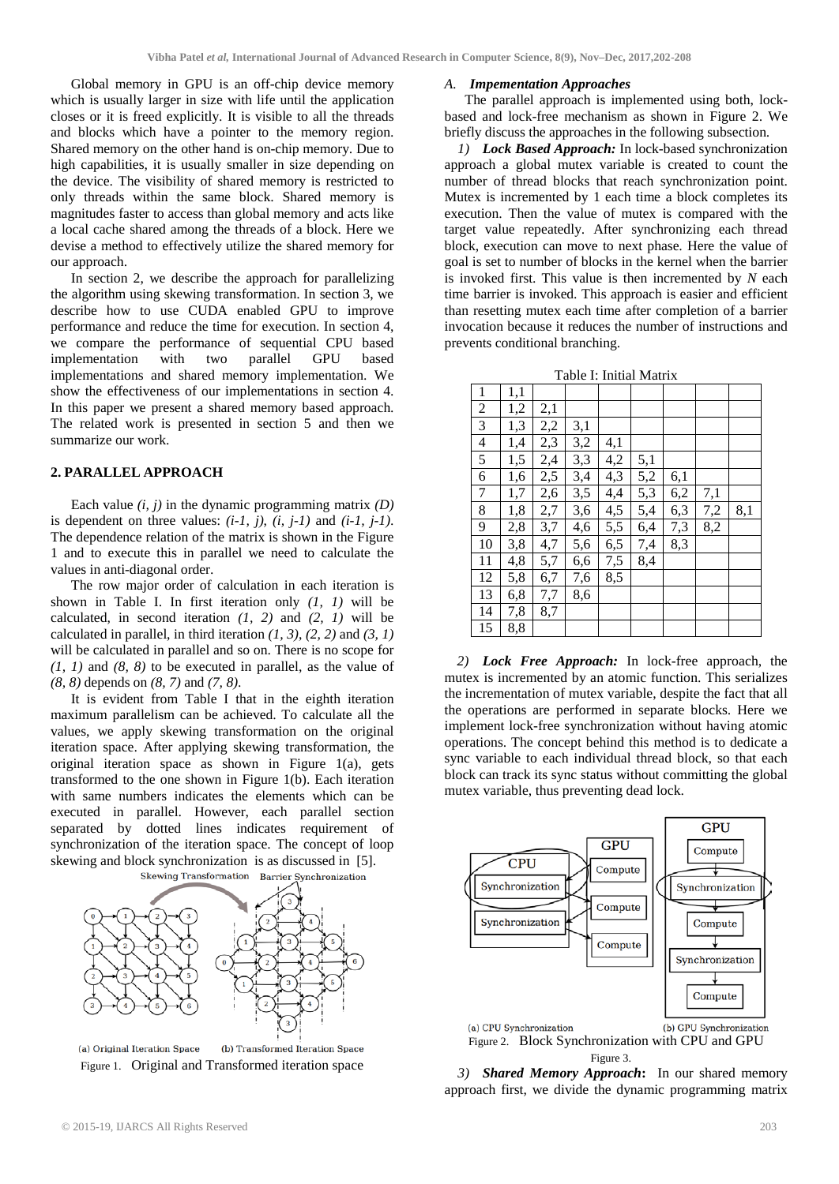Global memory in GPU is an off-chip device memory which is usually larger in size with life until the application closes or it is freed explicitly. It is visible to all the threads and blocks which have a pointer to the memory region. Shared memory on the other hand is on-chip memory. Due to high capabilities, it is usually smaller in size depending on the device. The visibility of shared memory is restricted to only threads within the same block. Shared memory is magnitudes faster to access than global memory and acts like a local cache shared among the threads of a block. Here we devise a method to effectively utilize the shared memory for our approach.

In section 2, we describe the approach for parallelizing the algorithm using skewing transformation. In section 3, we describe how to use CUDA enabled GPU to improve performance and reduce the time for execution. In section 4, we compare the performance of sequential CPU based implementation with two parallel GPU based implementations and shared memory implementation. We show the effectiveness of our implementations in section 4. In this paper we present a shared memory based approach. The related work is presented in section 5 and then we summarize our work.

# **2. PARALLEL APPROACH**

Each value *(i, j)* in the dynamic programming matrix *(D)* is dependent on three values:  $(i-1, j)$ ,  $(i, j-1)$  and  $(i-1, j-1)$ . The dependence relation of the matrix is shown in the Figure 1 and to execute this in parallel we need to calculate the values in anti-diagonal order.

The row major order of calculation in each iteration is shown in Table I. In first iteration only *(1, 1)* will be calculated, in second iteration *(1, 2)* and *(2, 1)* will be calculated in parallel, in third iteration *(1, 3)*, *(2, 2)* and *(3, 1)* will be calculated in parallel and so on. There is no scope for *(1, 1)* and *(8, 8)* to be executed in parallel, as the value of *(8, 8)* depends on *(8, 7)* and *(7, 8)*.

It is evident from Table I that in the eighth iteration maximum parallelism can be achieved. To calculate all the values, we apply skewing transformation on the original iteration space. After applying skewing transformation, the original iteration space as shown in Figure 1(a), gets transformed to the one shown in Figure 1(b). Each iteration with same numbers indicates the elements which can be executed in parallel. However, each parallel section separated by dotted lines indicates requirement of synchronization of the iteration space. The concept of loop skewing and block synchronization is as discussed in [5].



(a) Original Iteration Space (b) Transformed Iteration Space Figure 1. Original and Transformed iteration space

#### *A. Impementation Approaches*

The parallel approach is implemented using both, lockbased and lock-free mechanism as shown in Figure 2. We briefly discuss the approaches in the following subsection.

*1) Lock Based Approach:* In lock-based synchronization approach a global mutex variable is created to count the number of thread blocks that reach synchronization point. Mutex is incremented by 1 each time a block completes its execution. Then the value of mutex is compared with the target value repeatedly. After synchronizing each thread block, execution can move to next phase. Here the value of goal is set to number of blocks in the kernel when the barrier is invoked first. This value is then incremented by *N* each time barrier is invoked. This approach is easier and efficient than resetting mutex each time after completion of a barrier invocation because it reduces the number of instructions and prevents conditional branching.

| 1  | 1,1 |     |     |     |     |     |     |     |
|----|-----|-----|-----|-----|-----|-----|-----|-----|
| 2  | 1,2 | 2,1 |     |     |     |     |     |     |
| 3  | 1,3 | 2,2 | 3,1 |     |     |     |     |     |
| 4  | 1,4 | 2,3 | 3,2 | 4,1 |     |     |     |     |
| 5  | 1,5 | 2,4 | 3,3 | 4,2 | 5,1 |     |     |     |
| 6  | 1,6 | 2,5 | 3,4 | 4,3 | 5,2 | 6,1 |     |     |
| 7  | 1,7 | 2,6 | 3,5 | 4,4 | 5,3 | 6,2 | 7,1 |     |
| 8  | 1,8 | 2,7 | 3,6 | 4,5 | 5,4 | 6,3 | 7,2 | 8,1 |
| 9  | 2,8 | 3,7 | 4,6 | 5,5 | 6,4 | 7,3 | 8,2 |     |
| 10 | 3,8 | 4,7 | 5,6 | 6,5 | 7,4 | 8,3 |     |     |
| 11 | 4,8 | 5,7 | 6,6 | 7,5 | 8,4 |     |     |     |
| 12 | 5,8 | 6,7 | 7,6 | 8,5 |     |     |     |     |
| 13 | 6,8 | 7,7 | 8.6 |     |     |     |     |     |
| 14 | 7,8 | 8,7 |     |     |     |     |     |     |
| 15 | 8,8 |     |     |     |     |     |     |     |

*2) Lock Free Approach:* In lock-free approach, the mutex is incremented by an atomic function. This serializes the incrementation of mutex variable, despite the fact that all the operations are performed in separate blocks. Here we implement lock-free synchronization without having atomic operations. The concept behind this method is to dedicate a sync variable to each individual thread block, so that each block can track its sync status without committing the global mutex variable, thus preventing dead lock.



Figure 3.

*3) Shared Memory Approach***:** In our shared memory approach first, we divide the dynamic programming matrix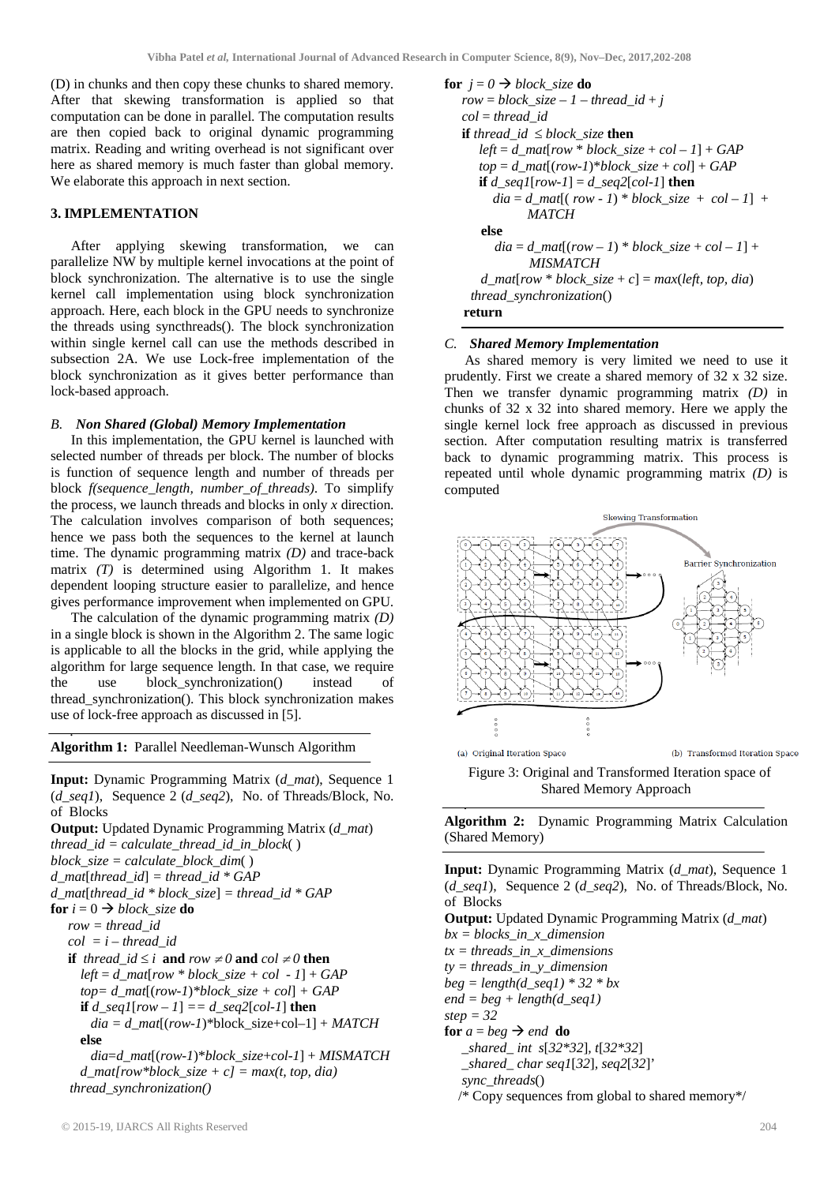(D) in chunks and then copy these chunks to shared memory. After that skewing transformation is applied so that computation can be done in parallel. The computation results are then copied back to original dynamic programming matrix. Reading and writing overhead is not significant over here as shared memory is much faster than global memory. We elaborate this approach in next section.

## **3. IMPLEMENTATION**

After applying skewing transformation, we can parallelize NW by multiple kernel invocations at the point of block synchronization. The alternative is to use the single kernel call implementation using block synchronization approach. Here, each block in the GPU needs to synchronize the threads using syncthreads(). The block synchronization within single kernel call can use the methods described in subsection 2A. We use Lock-free implementation of the block synchronization as it gives better performance than lock-based approach.

## *B. Non Shared (Global) Memory Implementation*

In this implementation, the GPU kernel is launched with selected number of threads per block. The number of blocks is function of sequence length and number of threads per block *f(sequence\_length, number\_of\_threads)*. To simplify the process, we launch threads and blocks in only *x* direction. The calculation involves comparison of both sequences; hence we pass both the sequences to the kernel at launch time. The dynamic programming matrix *(D)* and trace-back matrix *(T)* is determined using Algorithm 1. It makes dependent looping structure easier to parallelize, and hence gives performance improvement when implemented on GPU.

The calculation of the dynamic programming matrix *(D)* in a single block is shown in the Algorithm 2. The same logic is applicable to all the blocks in the grid, while applying the algorithm for large sequence length. In that case, we require the use block\_synchronization() instead of thread\_synchronization(). This block synchronization makes use of lock-free approach as discussed in [5].

**Algorithm 1:** Parallel Needleman-Wunsch Algorithm

.

**Input:** Dynamic Programming Matrix (*d\_mat*), Sequence 1 (*d\_seq1*), Sequence 2 (*d\_seq2*), No. of Threads/Block, No. of Blocks

**Output:** Updated Dynamic Programming Matrix (*d\_mat*) *thread id = calculate thread id in block*( ) *block\_size = calculate\_block\_dim*( ) *d\_mat*[*thread\_id*] *= thread\_id \* GAP d\_mat*[*thread\_id \* block\_size*] *= thread\_id \* GAP* **for**  $i = 0 \rightarrow block\_size$  **do** *row = thread\_id*  $col = i - thread$  *id*  **if** *thread*  $id \leq i$  **and**  $row \neq 0$  **and**  $col \neq 0$  **then**  $left = d$ <sub>*mat*[*row \* block\_size + col - 1*] + *GAP*</sub>  *top= d\_mat*[(*row-1*)*\*block\_size + col*] *+ GAP*  **if**  $d\_seq1$ [ $row - 1$ ] ==  $d\_seq2$ [ $col-1$ ] **then**  $dia = d\_mat[(row-1)*block\_size+col-1] + MATCH$  **else** *dia*=*d\_mat*[(*row-1*)\**block\_size*+*col*-*1*] + *MISMATCH d\_mat[row\*block\_size + c] = max(t, top, dia) thread\_synchronization()*

**for**  $j = 0 \implies block \text{ size }$ **do**  $row = block\_size - 1 - thread\_id + j$  *col* = *thread\_id* **if** *thread*  $id \leq block$  *size* **then**  $left = d$  mat<sup> $f$ </sup>row \* *block* size +  $col - 1$ } +  $GAP$  $top = d$  *mat* $[(row-1)*block$  *size* + *col*] + *GAP* **if**  $d\_seqI$ [ $row-I$ ] =  $d\_seq2$ [ $col-I$ ] **then**  $dia = d$   $mat[(row - 1) * block size + col - 1] +$  *MATCH*  **else**  $dia = d\_mat[(row - 1) * block\_size + col - 1] +$  *MISMATCH*   $d$ *\_mat*[ $row * block_size + c$ ] =  $max(left, top, dia)$  *thread\_synchronization*() **return**

## *C. Shared Memory Implementation*

As shared memory is very limited we need to use it prudently. First we create a shared memory of 32 x 32 size. Then we transfer dynamic programming matrix *(D)* in chunks of 32 x 32 into shared memory. Here we apply the single kernel lock free approach as discussed in previous section. After computation resulting matrix is transferred back to dynamic programming matrix. This process is repeated until whole dynamic programming matrix *(D)* is computed



 Figure 3: Original and Transformed Iteration space of Shared Memory Approach

**Algorithm 2:** Dynamic Programming Matrix Calculation (Shared Memory)

.

**Input:** Dynamic Programming Matrix (*d\_mat*), Sequence 1 (*d\_seq1*), Sequence 2 (*d\_seq2*), No. of Threads/Block, No. of Blocks

**Output:** Updated Dynamic Programming Matrix (*d\_mat*) *bx = blocks\_in\_x\_dimension tx = threads\_in\_x\_dimensions ty = threads\_in\_y\_dimension beg = length(d\_seq1) \* 32 \* bx end = beg + length(d\_seq1) step = 32* **for**  $a = beg \rightarrow end$  **do** *\_shared\_ int s*[*32\*32*]*, t*[*32\*32*]  *\_shared\_ char seq1*[*32*]*, seq2*[*32*]' *sync\_threads*() /\* Copy sequences from global to shared memory\*/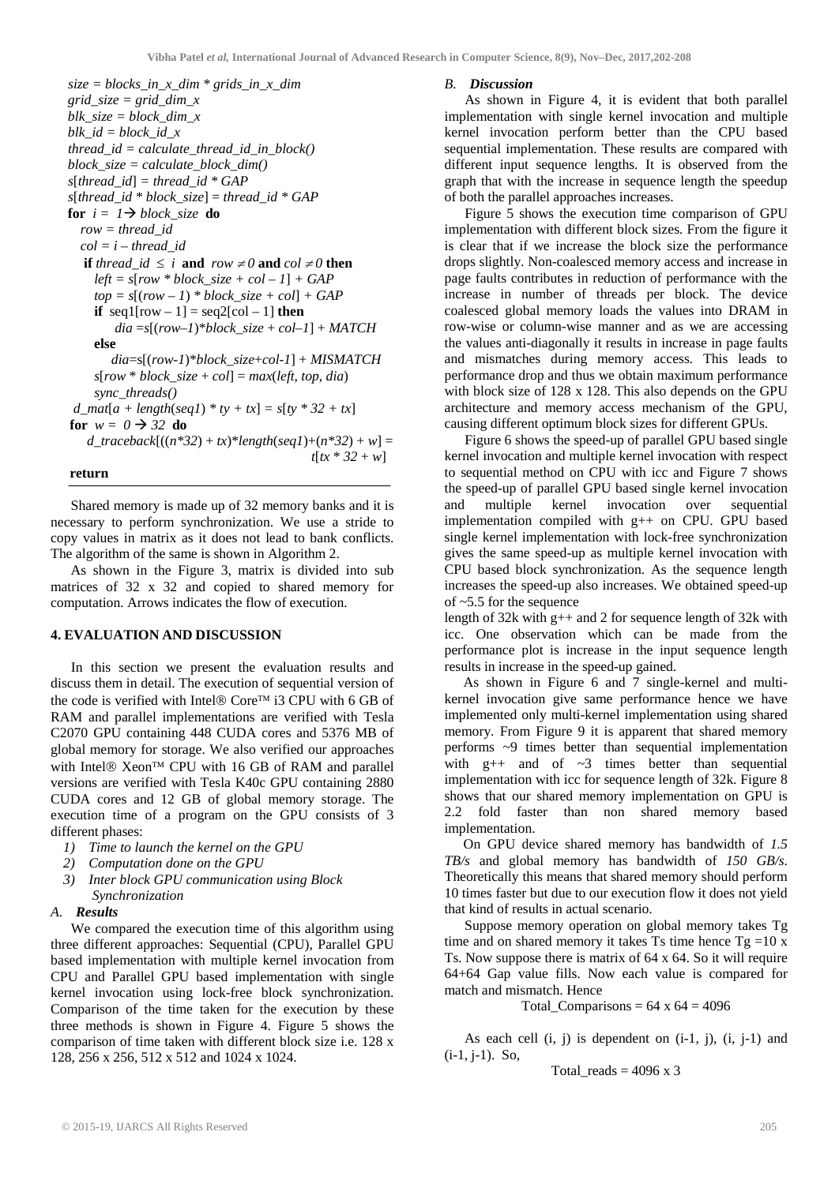*size = blocks\_in\_x\_dim \* grids\_in\_x\_dim grid\_size = grid\_dim\_x blk\_size = block\_dim\_x blk\_id = block\_id\_x thread*  $id = calculate$  *thread id in block() block\_size = calculate\_block\_dim() s*[*thread\_id*] *= thread\_id \* GAP*  $s[thread\ id * block\ size] = thread\ id * GAP$ **for**  $i = 1 \rightarrow block$  size **do**  *row = thread\_id col = i – thread\_id* **if** *thread\_id*  $\leq$  *i* **and**  $row \neq 0$  **and**  $col \neq 0$  **then**  $left = s[row * block_size + col - 1] + GAP$  $top = s[(row - 1) * block \text{ size } + col] + GAP$ **if** seq1[row – 1] = seq2[col – 1] **then**  $dia = s[(row-1)*block\_size + col-1] + MATCH$  **else** *dia*=s[(*row-1*)\**block\_size*+*col*-*1*] + *MISMATCH*  $s[row * block_size + col] = max(left, top, dia)$  *sync\_threads() d\_mat* $[a + length(seq1) * ty + tx] = s[ty * 32 + tx]$ **for**  $w = 0 \rightarrow \overline{32}$  **do**  $d$  *traceback*[ $((n*32) + tx)*length(seq1)+(n*32) + w] =$  $t[tx * 32 + w]$ 

## **return**

Shared memory is made up of 32 memory banks and it is necessary to perform synchronization. We use a stride to copy values in matrix as it does not lead to bank conflicts. The algorithm of the same is shown in Algorithm 2.

As shown in the Figure 3, matrix is divided into sub matrices of 32 x 32 and copied to shared memory for computation. Arrows indicates the flow of execution.

## **4. EVALUATION AND DISCUSSION**

In this section we present the evaluation results and discuss them in detail. The execution of sequential version of the code is verified with Intel $\circledR$  Core<sup>TM</sup> i3 CPU with 6 GB of RAM and parallel implementations are verified with Tesla C2070 GPU containing 448 CUDA cores and 5376 MB of global memory for storage. We also verified our approaches with Intel $\circledR$  Xeon<sup>TM</sup> CPU with 16 GB of RAM and parallel versions are verified with Tesla K40c GPU containing 2880 CUDA cores and 12 GB of global memory storage. The execution time of a program on the GPU consists of 3 different phases:

- *1) Time to launch the kernel on the GPU*
- *2) Computation done on the GPU*
- *3) Inter block GPU communication using Block Synchronization*
- *A. Results*

We compared the execution time of this algorithm using three different approaches: Sequential (CPU), Parallel GPU based implementation with multiple kernel invocation from CPU and Parallel GPU based implementation with single kernel invocation using lock-free block synchronization. Comparison of the time taken for the execution by these three methods is shown in Figure 4. Figure 5 shows the comparison of time taken with different block size i.e. 128 x 128, 256 x 256, 512 x 512 and 1024 x 1024.

#### *B. Discussion*

As shown in Figure 4, it is evident that both parallel implementation with single kernel invocation and multiple kernel invocation perform better than the CPU based sequential implementation. These results are compared with different input sequence lengths. It is observed from the graph that with the increase in sequence length the speedup of both the parallel approaches increases.

Figure 5 shows the execution time comparison of GPU implementation with different block sizes. From the figure it is clear that if we increase the block size the performance drops slightly. Non-coalesced memory access and increase in page faults contributes in reduction of performance with the increase in number of threads per block. The device coalesced global memory loads the values into DRAM in row-wise or column-wise manner and as we are accessing the values anti-diagonally it results in increase in page faults and mismatches during memory access. This leads to performance drop and thus we obtain maximum performance with block size of 128 x 128. This also depends on the GPU architecture and memory access mechanism of the GPU, causing different optimum block sizes for different GPUs.

Figure 6 shows the speed-up of parallel GPU based single kernel invocation and multiple kernel invocation with respect to sequential method on CPU with icc and Figure 7 shows the speed-up of parallel GPU based single kernel invocation and multiple kernel invocation over sequential implementation compiled with g++ on CPU. GPU based single kernel implementation with lock-free synchronization gives the same speed-up as multiple kernel invocation with CPU based block synchronization. As the sequence length increases the speed-up also increases. We obtained speed-up of ~5.5 for the sequence

length of 32k with g++ and 2 for sequence length of 32k with icc. One observation which can be made from the performance plot is increase in the input sequence length results in increase in the speed-up gained.

As shown in Figure 6 and 7 single-kernel and multikernel invocation give same performance hence we have implemented only multi-kernel implementation using shared memory. From Figure 9 it is apparent that shared memory performs ~9 times better than sequential implementation with  $g++$  and of  $\sim$ 3 times better than sequential implementation with icc for sequence length of 32k. Figure 8 shows that our shared memory implementation on GPU is 2.2 fold faster than non shared memory based implementation.

On GPU device shared memory has bandwidth of *1.5 TB/s* and global memory has bandwidth of *150 GB/s*. Theoretically this means that shared memory should perform 10 times faster but due to our execution flow it does not yield that kind of results in actual scenario.

Suppose memory operation on global memory takes Tg time and on shared memory it takes Ts time hence  $Tg = 10x$ Ts. Now suppose there is matrix of 64 x 64. So it will require 64+64 Gap value fills. Now each value is compared for match and mismatch. Hence

Total\_Comparisons =  $64 \times 64 = 4096$ 

As each cell  $(i, j)$  is dependent on  $(i-1, j)$ ,  $(i, j-1)$  and  $(i-1, j-1)$ . So,

Total reads =  $4096 \times 3$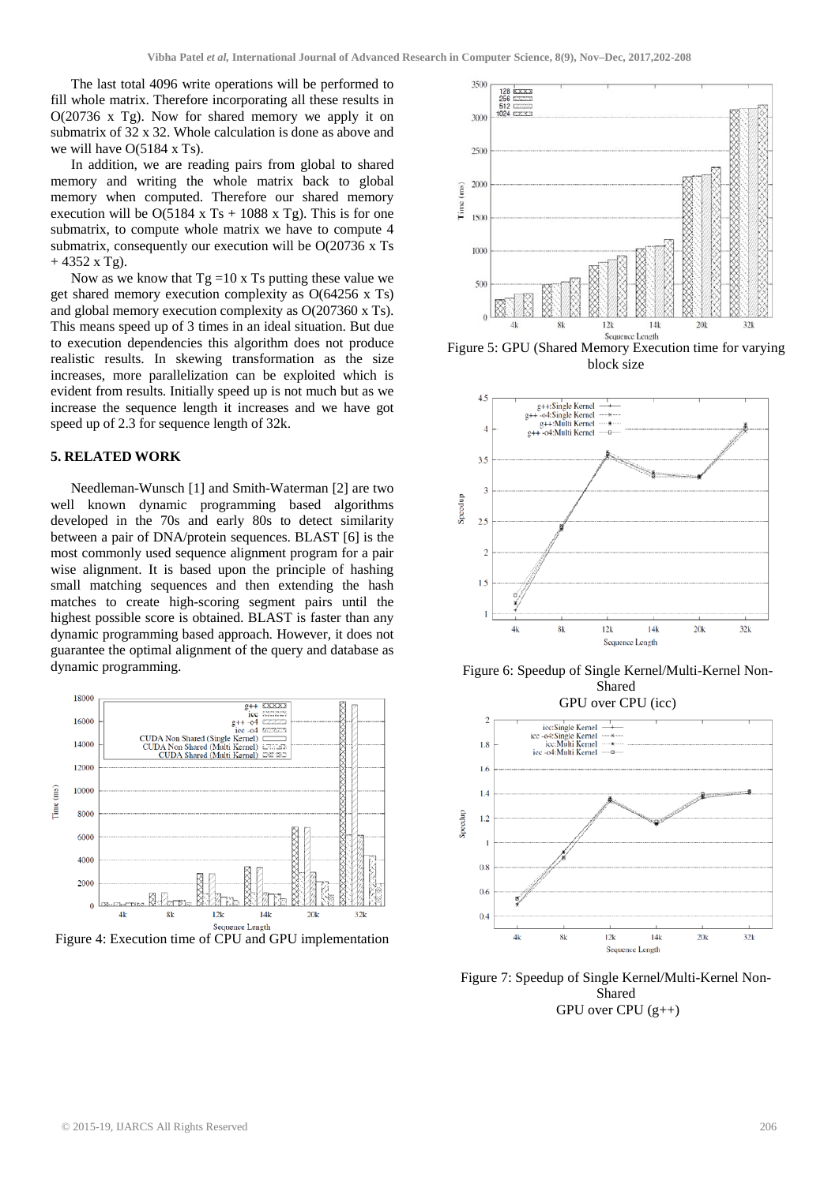The last total 4096 write operations will be performed to fill whole matrix. Therefore incorporating all these results in O(20736 x Tg). Now for shared memory we apply it on submatrix of 32 x 32. Whole calculation is done as above and we will have O(5184 x Ts).

In addition, we are reading pairs from global to shared memory and writing the whole matrix back to global memory when computed. Therefore our shared memory execution will be  $O(5184 \times T_s + 1088 \times T_g)$ . This is for one submatrix, to compute whole matrix we have to compute 4 submatrix, consequently our execution will be O(20736 x Ts  $+ 4352$  x Tg).

Now as we know that  $Tg = 10x$  Ts putting these value we get shared memory execution complexity as O(64256 x Ts) and global memory execution complexity as O(207360 x Ts). This means speed up of 3 times in an ideal situation. But due to execution dependencies this algorithm does not produce realistic results. In skewing transformation as the size increases, more parallelization can be exploited which is evident from results. Initially speed up is not much but as we increase the sequence length it increases and we have got speed up of 2.3 for sequence length of 32k.

## **5. RELATED WORK**

Needleman-Wunsch [1] and Smith-Waterman [2] are two well known dynamic programming based algorithms developed in the 70s and early 80s to detect similarity between a pair of DNA/protein sequences. BLAST [6] is the most commonly used sequence alignment program for a pair wise alignment. It is based upon the principle of hashing small matching sequences and then extending the hash matches to create high-scoring segment pairs until the highest possible score is obtained. BLAST is faster than any dynamic programming based approach. However, it does not guarantee the optimal alignment of the query and database as dynamic programming.



Figure 4: Execution time of CPU and GPU implementation



Figure 5: GPU (Shared Memory Execution time for varying block size



Figure 6: Speedup of Single Kernel/Multi-Kernel Non-Shared



Figure 7: Speedup of Single Kernel/Multi-Kernel Non-Shared GPU over CPU  $(g_{++})$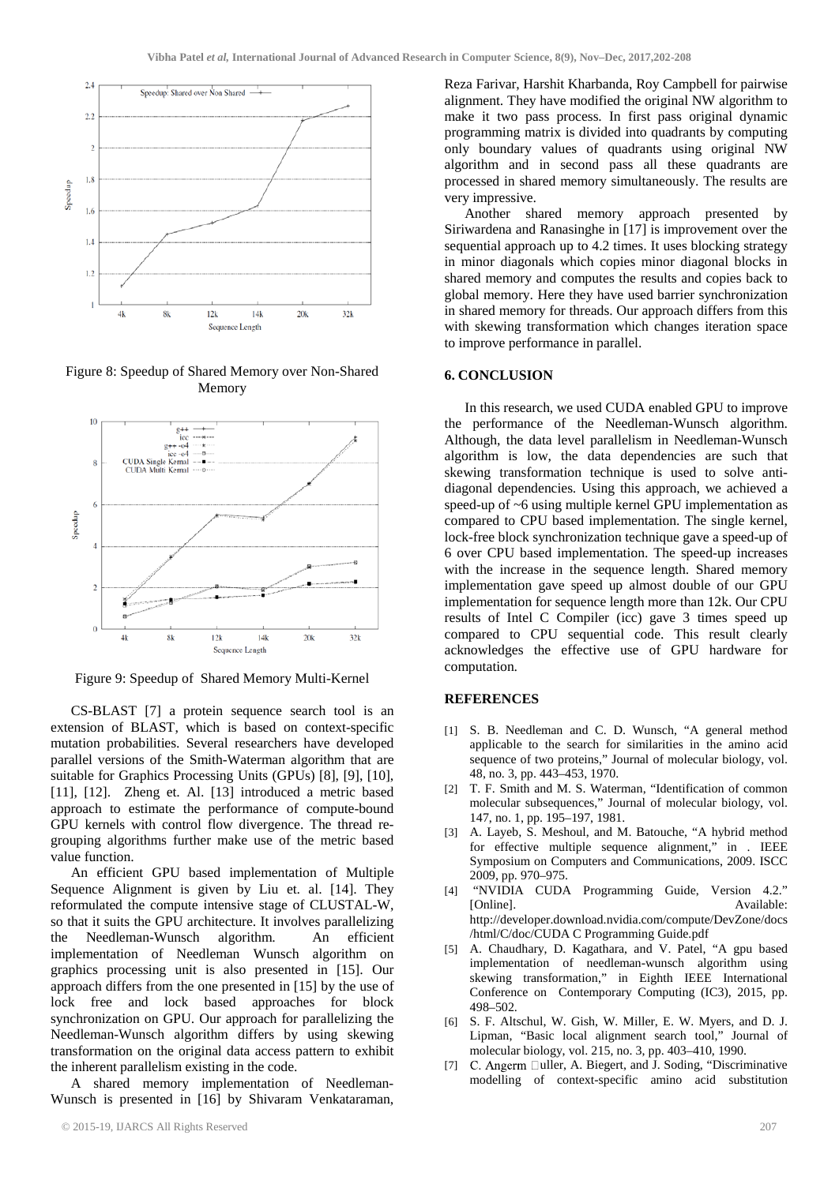

Figure 8: Speedup of Shared Memory over Non-Shared Memory



Figure 9: Speedup of Shared Memory Multi-Kernel

CS-BLAST [7] a protein sequence search tool is an extension of BLAST, which is based on context-specific mutation probabilities. Several researchers have developed parallel versions of the Smith-Waterman algorithm that are suitable for Graphics Processing Units (GPUs) [8], [9], [10], [11], [12]. Zheng et. Al. [13] introduced a metric based approach to estimate the performance of compute-bound GPU kernels with control flow divergence. The thread regrouping algorithms further make use of the metric based value function.

An efficient GPU based implementation of Multiple Sequence Alignment is given by Liu et. al. [14]. They reformulated the compute intensive stage of CLUSTAL-W, so that it suits the GPU architecture. It involves parallelizing the Needleman-Wunsch algorithm. An efficient implementation of Needleman Wunsch algorithm on graphics processing unit is also presented in [15]. Our approach differs from the one presented in [15] by the use of lock free and lock based approaches for block synchronization on GPU. Our approach for parallelizing the Needleman-Wunsch algorithm differs by using skewing transformation on the original data access pattern to exhibit the inherent parallelism existing in the code.

A shared memory implementation of Needleman-Wunsch is presented in [16] by Shivaram Venkataraman,

Reza Farivar, Harshit Kharbanda, Roy Campbell for pairwise alignment. They have modified the original NW algorithm to make it two pass process. In first pass original dynamic programming matrix is divided into quadrants by computing only boundary values of quadrants using original NW algorithm and in second pass all these quadrants are processed in shared memory simultaneously. The results are very impressive.

Another shared memory approach presented by Siriwardena and Ranasinghe in [17] is improvement over the sequential approach up to 4.2 times. It uses blocking strategy in minor diagonals which copies minor diagonal blocks in shared memory and computes the results and copies back to global memory. Here they have used barrier synchronization in shared memory for threads. Our approach differs from this with skewing transformation which changes iteration space to improve performance in parallel.

## **6. CONCLUSION**

In this research, we used CUDA enabled GPU to improve the performance of the Needleman-Wunsch algorithm. Although, the data level parallelism in Needleman-Wunsch algorithm is low, the data dependencies are such that skewing transformation technique is used to solve antidiagonal dependencies. Using this approach, we achieved a speed-up of ~6 using multiple kernel GPU implementation as compared to CPU based implementation. The single kernel, lock-free block synchronization technique gave a speed-up of 6 over CPU based implementation. The speed-up increases with the increase in the sequence length. Shared memory implementation gave speed up almost double of our GPU implementation for sequence length more than 12k. Our CPU results of Intel C Compiler (icc) gave 3 times speed up compared to CPU sequential code. This result clearly acknowledges the effective use of GPU hardware for computation.

## **REFERENCES**

- [1] S. B. Needleman and C. D. Wunsch, "A general method applicable to the search for similarities in the amino acid sequence of two proteins," Journal of molecular biology, vol. 48, no. 3, pp. 443–453, 1970.
- [2] T. F. Smith and M. S. Waterman, "Identification of common molecular subsequences," Journal of molecular biology, vol. 147, no. 1, pp. 195–197, 1981.
- [3] A. Layeb, S. Meshoul, and M. Batouche, "A hybrid method for effective multiple sequence alignment," in . IEEE Symposium on Computers and Communications, 2009. ISCC 2009, pp. 970–975.
- [4] "NVIDIA CUDA Programming Guide, Version 4.2." [Online]. Available: http://developer.download.nvidia.com/compute/DevZone/docs /html/C/doc/CUDA C Programming Guide.pdf
- [5] A. Chaudhary, D. Kagathara, and V. Patel, "A gpu based implementation of needleman-wunsch algorithm using skewing transformation," in Eighth IEEE International Conference on Contemporary Computing (IC3), 2015, pp. 498–502.
- [6] S. F. Altschul, W. Gish, W. Miller, E. W. Myers, and D. J. Lipman, "Basic local alignment search tool," Journal of molecular biology, vol. 215, no. 3, pp. 403–410, 1990.
- [7] C. Angerm  $\Box$ uller, A. Biegert, and J. Soding, "Discriminative modelling of context-specific amino acid substitution